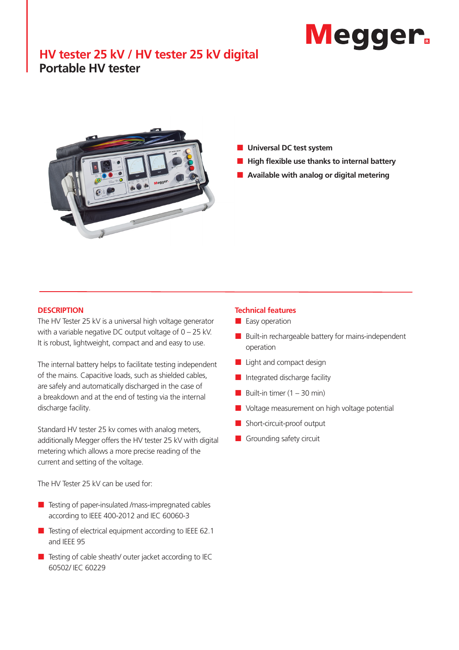# **Megger**

# **HV tester 25 kV / HV tester 25 kV digital Portable HV tester**



- **Universal DC test system**
- **High flexible use thanks to internal battery**
- **Available with analog or digital metering**

### **DESCRIPTION**

The HV Tester 25 kV is a universal high voltage generator with a variable negative DC output voltage of 0 – 25 kV. It is robust, lightweight, compact and and easy to use.

The internal battery helps to facilitate testing independent of the mains. Capacitive loads, such as shielded cables, are safely and automatically discharged in the case of a breakdown and at the end of testing via the internal discharge facility.

Standard HV tester 25 kv comes with analog meters, additionally Megger offers the HV tester 25 kV with digital metering which allows a more precise reading of the current and setting of the voltage.

The HV Tester 25 kV can be used for:

- Testing of paper-insulated /mass-impregnated cables according to IEEE 400-2012 and IEC 60060-3
- $\blacksquare$  Testing of electrical equipment according to IEEE 62.1 and IEEE 95
- $\blacksquare$  Testing of cable sheath/ outer jacket according to IEC 60502/ IEC 60229

## **Technical features**

- **E** Easy operation
- **Built-in rechargeable battery for mains-independent** operation
- $Light$  and compact design
- Integrated discharge facility
- Built-in timer  $(1 30 \text{ min})$
- Voltage measurement on high voltage potential
- Short-circuit-proof output
- Grounding safety circuit